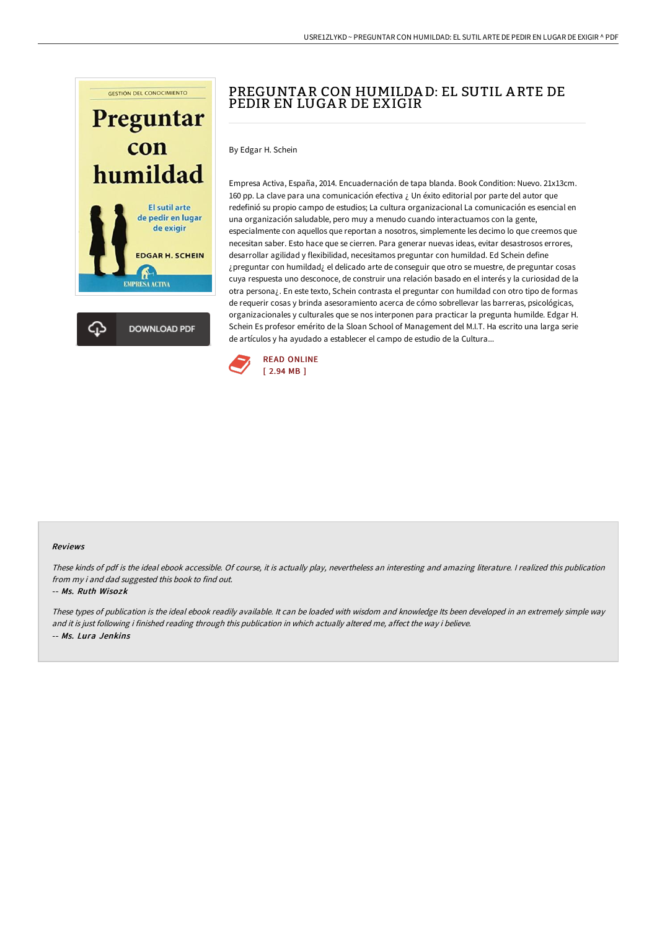



## USRE1ZLYKD~ PREGUNTAR CON HUMILDAD: EL SUTIL ARTEDE PEDIR EN LUGAR DE EXIGIR ^ PDF

# PREGUNTA R CON HUMILDA D: EL SUTIL A RTE DE PEDIR EN LUGA R DE EXIGIR

By Edgar H. Schein

Empresa Activa, España, 2014. Encuadernación de tapa blanda. Book Condition: Nuevo. 21x13cm. 160 pp. La clave para una comunicación efectiva ¿ Un éxito editorial por parte del autor que redefinió su propio campo de estudios; La cultura organizacional La comunicación es esencial en una organización saludable, pero muy a menudo cuando interactuamos con la gente, especialmente con aquellos que reportan a nosotros, simplemente les decimo lo que creemos que necesitan saber. Esto hace que se cierren. Para generar nuevas ideas, evitar desastrosos errores, desarrollar agilidad y flexibilidad, necesitamos preguntar con humildad. Ed Schein define ¿preguntar con humildad¿ el delicado arte de conseguir que otro se muestre, de preguntar cosas cuya respuesta uno desconoce, de construir una relación basado en el interés y la curiosidad de la otra persona¿. En este texto, Schein contrasta el preguntar con humildad con otro tipo de formas de requerir cosas y brinda asesoramiento acerca de cómo sobrellevar las barreras, psicológicas, organizacionales y culturales que se nos interponen para practicar la pregunta humilde. Edgar H. Schein Es profesor emérito de la Sloan School of Management del M.I.T. Ha escrito una larga serie de artículos y ha ayudado a establecer el campo de estudio de la Cultura...



#### Reviews

These kinds of pdf is the ideal ebook accessible. Of course, it is actually play, nevertheless an interesting and amazing literature. <sup>I</sup> realized this publication from my i and dad suggested this book to find out.

### -- Ms. Ruth Wisozk

These types of publication is the ideal ebook readily available. It can be loaded with wisdom and knowledge Its been developed in an extremely simple way and it is just following i finished reading through this publication in which actually altered me, affect the way i believe. -- Ms. Lura Jenkins